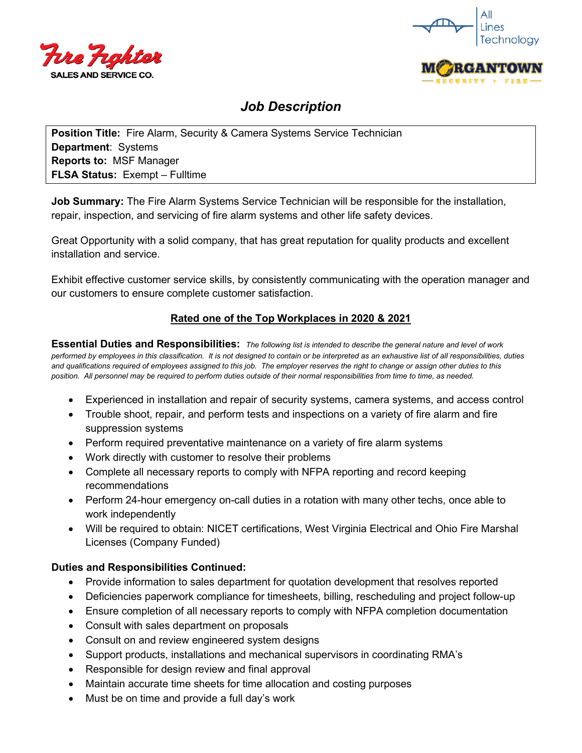



# *Job Description*

**Position Title:** Fire Alarm, Security & Camera Systems Service Technician **Department**: Systems **Reports to:** MSF Manager **FLSA Status:** Exempt – Fulltime

**Job Summary:** The Fire Alarm Systems Service Technician will be responsible for the installation, repair, inspection, and servicing of fire alarm systems and other life safety devices.

Great Opportunity with a solid company, that has great reputation for quality products and excellent installation and service.

Exhibit effective customer service skills, by consistently communicating with the operation manager and our customers to ensure complete customer satisfaction.

## **Rated one of the Top Workplaces in 2020 & 2021**

**Essential Duties and Responsibilities:** *The following list is intended to describe the general nature and level of work performed by employees in this classification. It is not designed to contain or be interpreted as an exhaustive list of all responsibilities, duties and qualifications required of employees assigned to this job. The employer reserves the right to change or assign other duties to this position. All personnel may be required to perform duties outside of their normal responsibilities from time to time, as needed.*

- Experienced in installation and repair of security systems, camera systems, and access control
- Trouble shoot, repair, and perform tests and inspections on a variety of fire alarm and fire suppression systems
- Perform required preventative maintenance on a variety of fire alarm systems
- Work directly with customer to resolve their problems
- Complete all necessary reports to comply with NFPA reporting and record keeping recommendations
- Perform 24-hour emergency on-call duties in a rotation with many other techs, once able to work independently
- Will be required to obtain: NICET certifications, West Virginia Electrical and Ohio Fire Marshal Licenses (Company Funded)

#### **Duties and Responsibilities Continued:**

- Provide information to sales department for quotation development that resolves reported
- Deficiencies paperwork compliance for timesheets, billing, rescheduling and project follow-up
- Ensure completion of all necessary reports to comply with NFPA completion documentation
- Consult with sales department on proposals
- Consult on and review engineered system designs
- Support products, installations and mechanical supervisors in coordinating RMA's
- Responsible for design review and final approval
- Maintain accurate time sheets for time allocation and costing purposes
- Must be on time and provide a full day's work